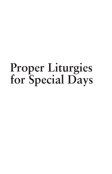# **Proper Liturgies for Special Days**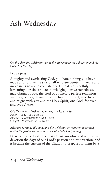# Ash Wednesday

*On this day, the Celebrant begins the liturgy with the Salutation and the Collect of the Day.*

Let us pray.

Almighty and everlasting God, you hate nothing you have made and forgive the sins of all who are penitent: Create and make in us new and contrite hearts, that we, worthily lamenting our sins and acknowledging our wretchedness, may obtain of you, the God of all mercy, perfect remission and forgiveness; through Jesus Christ our Lord, who lives and reigns with you and the Holy Spirit, one God, for ever and ever. *Amen.*

*Old Testament* Joel 2:1‑2, 12‑17, *or* Isaiah 58:1‑12 *Psalm* 103, *or* 103:8‑14 *Epistle* 2 Corinthians 5:20b-6:10 *Gospel* Matthew 6:1‑6, 16‑21

*After the Sermon, all stand, and the Celebrant or Minister appointed invites the people to the observance of a holy Lent, saying*

Dear People of God: The first Christians observed with great devotion the days of our Lord's passion and resurrection, and it became the custom of the Church to prepare for them by a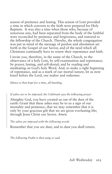season of penitence and fasting. This season of Lent provided a time in which converts to the faith were prepared for Holy Baptism. It was also a time when those who, because of notorious sins, had been separated from the body of the faithful were reconciled by penitence and forgiveness, and restored to the fellowship of the Church. Thereby, the whole congregation was put in mind of the message of pardon and absolution set forth in the Gospel of our Savior, and of the need which all Christians continually have to renew their repentance and faith.

I invite you, therefore, in the name of the Church, to the observance of a holy Lent, by self‑examination and repentance; by prayer, fasting, and self‑denial; and by reading and meditating on God's holy Word. And, to make a right beginning of repentance, and as a mark of our mortal nature, let us now kneel before the Lord, our maker and redeemer.

#### *Silence is then kept for a time, all kneeling.*

#### *If ashes are to be imposed, the Celebrant says the following prayer*

Almighty God, you have created us out of the dust of the earth: Grant that these ashes may be to us a sign of our mortality and penitence, that we may remember that it is only by your gracious gift that we are given everlasting life; through Jesus Christ our Savior. *Amen.*

#### *The ashes are imposed with the following words*

Remember that you are dust, and to dust you shall return.

*The following Psalm is then sung or said*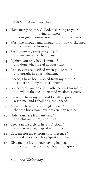**Psalm 51** *Miserere mei, Deus*

| I              | Have mercy on me, O God, according to your<br>loving-kindness; *                                 |
|----------------|--------------------------------------------------------------------------------------------------|
|                | in your great compassion blot out my offenses.                                                   |
| $\overline{2}$ | Wash me through and through from my wickedness *<br>and cleanse me from my sin.                  |
| $\overline{3}$ | For I know my transgressions, *<br>and my sin is ever before me.                                 |
| 4              | Against you only have I sinned *<br>and done what is evil in your sight.                         |
| 5              | And so you are justified when you speak *<br>and upright in your judgment.                       |
| 6              | Indeed, I have been wicked from my birth, *<br>a sinner from my mother's womb.                   |
| 7              | For behold, you look for truth deep within me, *<br>and will make me understand wisdom secretly. |
| 8              | Purge me from my sin, and I shall be pure;<br>wash me, and I shall be clean indeed.              |
| 9              | Make me hear of joy and gladness, *<br>that the body you have broken may rejoice.                |
| ΙO             | Hide your face from my sins *<br>and blot out all my iniquities.                                 |
| IJ             | Create in me a clean heart, O God, *<br>and renew a right spirit within me.                      |
| 12             | Cast me not away from your presence *<br>and take not your holy Spirit from me.                  |
| $I\,3$         | Give me the joy of your saving help again *<br>and sustain me with your bountiful Spirit.        |
|                |                                                                                                  |

266 *Ash Wednesday*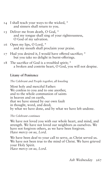- 14 I shall teach your ways to the wicked, \* and sinners shall return to you.
- 15 Deliver me from death, O God, \* and my tongue shall sing of your righteousness, O God of my salvation.
- 16 Open my lips, O Lord, \* and my mouth shall proclaim your praise.
- 17 Had you desired it, I would have offered sacrifice; \* but you take no delight in burnt-offerings.
- 18 The sacrifice of God is a troubled spirit; \* a broken and contrite heart, O God, you will not despise.

#### **Litany of Penitence**

*The Celebrant and People together, all kneeling*

Most holy and merciful Father: We confess to you and to one another, and to the whole communion of saints in heaven and on earth, that we have sinned by our own fault in thought, word, and deed; by what we have done, and by what we have left undone.

#### *The Celebrant continues*

We have not loved you with our whole heart, and mind, and strength. We have not loved our neighbors as ourselves. We have not forgiven others, as we have been forgiven. *Have mercy on us, Lord.*

We have been deaf to your call to serve, as Christ served us. We have not been true to the mind of Christ. We have grieved your Holy Spirit. *Have mercy on us, Lord.*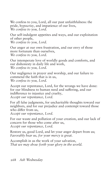We confess to you, Lord, all our past unfaithfulness: the pride, hypocrisy, and impatience of our lives, *We confess to you, Lord.*

Our self‑indulgent appetites and ways, and our exploitation of other people, *We confess to you, Lord.*

Our anger at our own frustration, and our envy of those more fortunate than ourselves, *We confess to you, Lord.*

Our intemperate love of worldly goods and comforts, and our dishonesty in daily life and work, *We confess to you, Lord.*

Our negligence in prayer and worship, and our failure to commend the faith that is in us, *We confess to you, Lord.*

Accept our repentance, Lord, for the wrongs we have done: for our blindness to human need and suffering, and our indifference to injustice and cruelty, *Accept our repentance, Lord*.

For all false judgments, for uncharitable thoughts toward our neighbors, and for our prejudice and contempt toward those who differ from us,

*Accept our repentance, Lord*.

For our waste and pollution of your creation, and our lack of concern for those who come after us, *Accept our repentance, Lord.*

Restore us, good Lord, and let your anger depart from us; *Favorably hear us, for your mercy is great.*

Accomplish in us the work of your salvation, *That we may show forth your glory in the world.*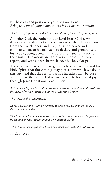By the cross and passion of your Son our Lord, *Bring us with all your saints to the joy of his resurrection.*

#### *The Bishop, if present, or the Priest, stands and, facing the people, says*

Almighty God, the Father of our Lord Jesus Christ, who desires not the death of sinners, but rather that they may turn from their wickedness and live, has given power and commandment to his ministers to declare and pronounce to his people, being penitent, the absolution and remission of their sins. He pardons and absolves all those who truly repent, and with sincere hearts believe his holy Gospel.

Therefore we beseech him to grant us true repentance and his Holy Spirit, that those things may please him which we do on this day, and that the rest of our life hereafter may be pure and holy, so that at the last we may come to his eternal joy; through Jesus Christ our Lord. *Amen.*

*A deacon or lay reader leading the service remains kneeling and substitutes the prayer for forgiveness appointed at Morning Prayer.*

*The Peace is then exchanged.*

*In the absence of a bishop or priest, all that precedes may be led by a deacon or lay reader.*

*The Litany of Penitence may be used at other times, and may be preceded by an appropriate invitation and a penitential psalm.*

*When Communion follows, the service continues with the Offertory.*

*Preface of Lent*

*Ash Wednesday* 269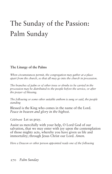# The Sunday of the Passion: Palm Sunday

#### **The Liturgy of the Palms**

*When circumstances permit, the congregation may gather at a place apart from the church, so that all may go into the church in procession.*

*The branches of palm or of other trees or shrubs to be carried in the procession may be distributed to the people before the service, or after the prayer of blessing.*

*The following or some other suitable anthem is sung or said, the people standing*

Blessed is the King who comes in the name of the Lord. *Peace in heaven and glory in the highest.*

*Celebrant* Let us pray.

Assist us mercifully with your help, O Lord God of our salvation, that we may enter with joy upon the contemplation of those mighty acts, whereby you have given us life and immortality; through Jesus Christ our Lord. *Amen.* 

*Here a Deacon or other person appointed reads one of the following*

270 *Palm Sunday*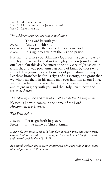*Year A* Matthew 21:1‑11 *Year B* Mark 11:1‑11, *or* John 12:12-16 *Year C* Luke 19:28‑40

*The Celebrant then says the following blessing*

The Lord be with you. *People* And also with you. *Celebrant* Let us give thanks to the Lord our God. *People* It is right to give him thanks and praise.

It is right to praise you, Almighty God, for the acts of love by which you have redeemed us through your Son Jesus Christ our Lord. On this day he entered the holy city of Jerusalem in triumph, and was proclaimed as King of kings by those who spread their garments and branches of palm along his way. Let these branches be for us signs of his victory, and grant that we who bear them in his name may ever hail him as our King, and follow him in the way that leads to eternal life; who lives and reigns in glory with you and the Holy Spirit, now and for ever. *Amen.*

*The following or some other suitable anthem may then be sung or said*

Blessed is he who comes in the name of the Lord. *Hosanna in the highest.*

*The Procession*

*Deacon* Let us go forth in peace. *People* In the name of Christ. Amen.

*During the procession, all hold branches in their hands, and appropriate hymns, psalms, or anthems are sung, such as the hymn "All glory, laud, and honor" and Psalm 118:19‑29.*

*At a suitable place, the procession may halt while the following or some other appropriate Collect is said*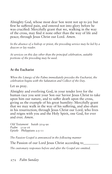Almighty God, whose most dear Son went not up to joy but first he suffered pain, and entered not into glory before he was crucified: Mercifully grant that we, walking in the way of the cross, may find it none other than the way of life and peace; through Jesus Christ our Lord. *Amen.*

*In the absence of a bishop or priest, the preceding service may be led by a deacon or lay reader.*

*At services on this day other than the principal celebration, suitable portions of the preceding may be used.*

#### **At the Eucharist**

*When the Liturgy of the Palms immediately precedes the Eucharist, the celebration begins with the Salutation and Collect of the Day.*

Let us pray.

Almighty and everliving God, in your tender love for the human race you sent your Son our Savior Jesus Christ to take upon him our nature, and to suffer death upon the cross, giving us the example of his great humility: Mercifully grant that we may walk in the way of his suffering, and also share in his resurrection; through Jesus Christ our Lord, who lives and reigns with you and the Holy Spirit, one God, for ever and ever. *Amen*.

*Old Testament* Isaiah 50:4-9a *Psalm* 31:9-16 *Epistle* Philippians 2:5-11

*The Passion Gospel is announced in the following manner*

The Passion of our Lord Jesus Christ according to

*The customary responses before and after the Gospel are omitted.*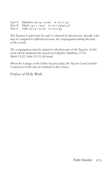*Year A* Matthew 26:14—27:66 *or* 27:11‑54 *Year B* Mark 14:1—15:47 *or* 15:1‑39(40‑47)

*Year C* Luke 22:14—23:56 *or* 23:1‑49

*The Passion Gospel may be read or chanted by lay persons. Specific roles may be assigned to different persons, the congregation taking the part of the crowd.*

*The congregation may be seated for the first part of the Passion. At the verse which mentions the arrival at Golgotha (Matthew 27:33, Mark 15:22, Luke 23:33) all stand.*

*When the Liturgy of the Palms has preceded, the Nicene Creed and the Confession of Sin may be omitted at this service.*

*Preface of Holy Week*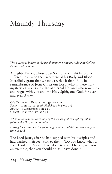# Maundy Thursday

*The Eucharist begins in the usual manner, using the following Collect, Psalm, and Lessons*

Almighty Father, whose dear Son, on the night before he suffered, instituted the Sacrament of his Body and Blood: Mercifully grant that we may receive it thankfully in remembrance of Jesus Christ our Lord, who in these holy mysteries gives us a pledge of eternal life; and who now lives and reigns with you and the Holy Spirit, one God, for ever and ever. *Amen.*

*Old Testament* Exodus 12:1‑4(5-10)11-14 *Psalm* 116:1,10-17 (*omit Hallelujah in verse 17*) *Epistle* I Corinthians 11:23-26 *Gospel* John 13:1‑17, 31b-35

*When observed, the ceremony of the washing of feet appropriately follows the Gospel and homily.*

*During the ceremony, the following or other suitable anthems may be sung or said*

The Lord Jesus, after he had supped with his disciples and had washed their feet, said to them, "Do you know what I, your Lord and Master, have done to you? I have given you an example, that you should do as I have done."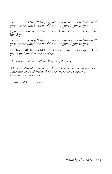*Peace is my last gift to you, my own peace I now leave with you; peace which the world cannot give, I give to you.*

I give you a new commandment: Love one another as I have loved you.

*Peace is my last gift to you, my own peace I now leave with you; peace which the world cannot give, I give to you.*

By this shall the world know that you are my disciples: That you have love for one another.

*The service continues with the Prayers of the People.*

*Where it is desired to administer Holy Communion from the reserved Sacrament on Good Friday, the Sacrament for that purpose is consecrated at this service.*

*Preface of Holy Week*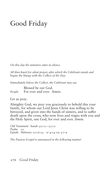## Good Friday

*On this day the ministers enter in silence.*

*All then kneel for silent prayer, after which the Celebrant stands and begins the liturgy with the Collect of the Day.*

*Immediately before the Collect, the Celebrant may say*

Blessed be our God. *People* For ever and ever. Amen.

Let us pray.

Almighty God, we pray you graciously to behold this your family, for whom our Lord Jesus Christ was willing to be betrayed, and given into the hands of sinners, and to suffer death upon the cross; who now lives and reigns with you and the Holy Spirit, one God, for ever and ever. *Amen.*

*Old Testament* Isaiah 52:13—53:12 *Psalm* 22 *Epistle* Hebrews 10:16‑25 *or* 4:14-16; 5:7-9

*The Passion Gospel is announced in the following manner*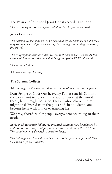The Passion of our Lord Jesus Christ according to John.

*The customary responses before and after the Gospel are omitted.*

John 18:1—19:42

*The Passion Gospel may be read or chanted by lay persons. Specific roles may be assigned to different persons, the congregation taking the part of the crowd.*

*The congregation may be seated for the first part of the Passion. At the verse which mentions the arrival at Golgotha (John 19:17) all stand.*

*The Sermon follows.*

*A hymn may then be sung.*

#### **The Solemn Collects**

*All standing, the Deacon, or other person appointed, says to the people*

Dear People of God: Our heavenly Father sent his Son into the world, not to condemn the world, but that the world through him might be saved; that all who believe in him might be delivered from the power of sin and death, and become heirs with him of everlasting life.

We pray, therefore, for people everywhere according to their needs.

*In the biddings which follow, the indented petitions may be adapted by addition or omission, as appropriate, at the discretion of the Celebrant. The people may be directed to stand or kneel.*

*The biddings may be read by a Deacon or other person appointed. The Celebrant says the Collects.*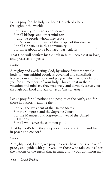Let us pray for the holy Catholic Church of Christ throughout the world;

For its unity in witness and service For all bishops and other ministers and the people whom they serve For *N*., our Bishop, and all the people of this diocese For all Christians in this community For those about to be baptized (particularly\_\_\_\_\_\_\_\_\_\_

That God will confirm his Church in faith, increase it in love, and preserve it in peace.

*Silence*

Almighty and everlasting God, by whose Spirit the whole body of your faithful people is governed and sanctified: Receive our supplications and prayers which we offer before you for all members of your holy Church, that in their vocation and ministry they may truly and devoutly serve you; through our Lord and Savior Jesus Christ. *Amen.*

Let us pray for all nations and peoples of the earth, and for those in authority among them;

For *N*., the President of the United States For the Congress and the Supreme Court For the Members and Representatives of the United Nations

For all who serve the common good

That by God's help they may seek justice and truth, and live in peace and concord.

*Silence*

Almighty God, kindle, we pray, in every heart the true love of peace, and guide with your wisdom those who take counsel for the nations of the earth; that in tranquillity your dominion may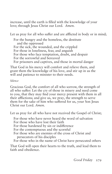increase, until the earth is filled with the knowledge of your love; through Jesus Christ our Lord. *Amen.*

Let us pray for all who suffer and are afflicted in body or in mind;

For the hungry and the homeless, the destitute and the oppressed For the sick, the wounded, and the crippled For those in loneliness, fear, and anguish For those who face temptation, doubt, and despair For the sorrowful and bereaved For prisoners and captives, and those in mortal danger

That God in his mercy will comfort and relieve them, and grant them the knowledge of his love, and stir up in us the will and patience to minister to their needs.

*Silence*

Gracious God, the comfort of all who sorrow, the strength of all who suffer: Let the cry of those in misery and need come to you, that they may find your mercy present with them in all their afflictions; and give us, we pray, the strength to serve them for the sake of him who suffered for us, your Son Jesus Christ our Lord. *Amen.*

Let us pray for all who have not received the Gospel of Christ;

For those who have never heard the word of salvation For those who have lost their faith For those hardened by sin or indifference For the contemptuous and the scornful For those who are enemies of the cross of Christ and persecutors of his disciples

For those who in the name of Christ have persecuted others

That God will open their hearts to the truth, and lead them to faith and obedience.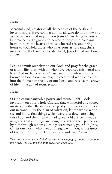#### *Silence*

Merciful God, creator of all the peoples of the earth and lover of souls: Have compassion on all who do not know you as you are revealed in your Son Jesus Christ; let your Gospel be preached with grace and power to those who have not heard it; turn the hearts of those who resist it; and bring home to your fold those who have gone astray; that there may be one flock under one shepherd, Jesus Christ our Lord. *Amen.*

Let us commit ourselves to our God, and pray for the grace of a holy life, that, with all who have departed this world and have died in the peace of Christ, and those whose faith is known to God alone, we may be accounted worthy to enter into the fullness of the joy of our Lord, and receive the crown of life in the day of resurrection.

#### *Silence*

O God of unchangeable power and eternal light: Look favorably on your whole Church, that wonderful and sacred mystery; by the effectual working of your providence, carry out in tranquillity the plan of salvation; let the whole world see and know that things which were cast down are being raised up, and things which had grown old are being made new, and that all things are being brought to their perfection by him through whom all things were made, your Son Jesus Christ our Lord; who lives and reigns with you, in the unity of the Holy Spirit, one God, for ever and ever. *Amen*.

*The service may be concluded here with the singing of a hymn or anthem, the Lord's Prayer, and the final prayer on page 282.*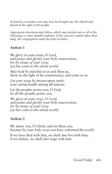*If desired, a wooden cross may now be brought into the church and placed in the sight of the people.*

*Appropriate devotions may follow, which may include any or all of the following, or other suitable anthems. If the texts are recited rather than sung, the congregation reads the parts in italics.*

#### **Anthem 1**

We glory in your cross, O Lord, *and praise and glorify your holy resurrection; for by virtue of your cross joy has come to the whole world.*

May God be merciful to us and bless us, show us the light of his countenance, and come to us.

*Let your ways be known upon earth, your saving health among all nations.*

Let the peoples praise you, O God; let all the peoples praise you.

*We glory in your cross, O Lord, and praise and glorify your holy resurrection; for by virtue of your cross joy has come to the whole world.*

#### **Anthem 2**

We adore you, O Christ, and we bless you, *because by your holy cross you have redeemed the world.*

If we have died with him, we shall also live with him; if we endure, we shall also reign with him.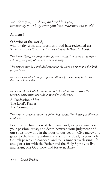*We adore you, O Christ, and we bless you, because by your holy cross you have redeemed the world.*

#### **Anthem 3**

O Savior of the world, who by thy cross and precious blood hast redeemed us: *Save us and help us, we humbly beseech thee, O Lord.*

*The hymn "Sing, my tongue, the glorious battle," or some other hymn extolling the glory of the cross, is then sung.*

*The service may be concluded here with the Lord's Prayer and the final prayer below.*

*In the absence of a bishop or priest, all that precedes may be led by a deacon or lay reader.*

*In places where Holy Communion is to be administered from the reserved Sacrament, the following order is observed*

A Confession of Sin The Lord's Prayer The Communion

*The service concludes with the following prayer. No blessing or dismissal is added.*

Lord Jesus Christ, Son of the living God, we pray you to set your passion, cross, and death between your judgment and our souls, now and in the hour of our death. Give mercy and grace to the living; pardon and rest to the dead; to your holy Church peace and concord; and to us sinners everlasting life and glory; for with the Father and the Holy Spirit you live and reign, one God, now and for ever. *Amen.*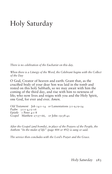# Holy Saturday

*There is no celebration of the Eucharist on this day.*

*When there is a Liturgy of the Word, the Celebrant begins with the Collect of the Day*

O God, Creator of heaven and earth: Grant that, as the crucified body of your dear Son was laid in the tomb and rested on this holy Sabbath, so we may await with him the coming of the third day, and rise with him to newness of life; who now lives and reigns with you and the Holy Spirit, one God, for ever and ever. *Amen.*

*Old Testament* Job 14:1‑14 *or* Lamentations 3:1-9,19-24 *Psalm* 31:1‑4,15-16 *Epistle* I Peter 4:1-8 *Gospel* Matthew 27:57‑66, *or* John 19:38‑42

*After the Gospel (and homily), in place of the Prayers of the People, the Anthem "In the midst of life" (page 484 or 492) is sung or said.*

*The service then concludes with the Lord's Prayer and the Grace.*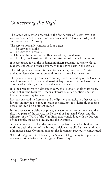### *Concerning the Vigil*

The Great Vigil, when observed, is the first service of Easter Day. It is celebrated at a convenient time between sunset on Holy Saturday and sunrise on Easter Morning.

The service normally consists of four parts:

- 1. The Service of Light.
- 2. The Service of Lessons.
- 3. Christian Initiation, or the Renewal of Baptismal Vows.
- 4. The Holy Eucharist with the administration of Easter Communion.

It is customary for all the ordained ministers present, together with lay readers, singers, and other persons, to take active parts in the service.

The bishop, when present, is the chief celebrant, presides at Baptism and administers Confirmation, and normally preaches the sermon.

The priests who are present share among them the reading of the Collects which follow each Lesson, and assist at Baptism and the Eucharist. In the absence of a bishop, a priest presides at the service.

It is the prerogative of a deacon to carry the Paschal Candle to its place, and to chant the Exsultet. Deacons likewise assist at Baptism and the Eucharist according to their order.

Lay persons read the Lessons and the Epistle, and assist in other ways. A lay person may be assigned to chant the Exsultet. It is desirable that each Lesson be read by a different reader.

In the absence of a bishop or priest, a deacon or lay reader may lead the first two parts of the service, the Renewal of Baptismal Vows, and the Ministry of the Word of the Vigil Eucharist, concluding with the Prayers of the People, the Lord's Prayer, and the Dismissal.

A deacon may also, when the services of a priest cannot be obtained, and with the authorization of the bishop, officiate at public Baptism; and may administer Easter Communion from the Sacrament previously consecrated.

When the Vigil is not celebrated, the Service of Light may take place at a convenient time before the Liturgy on Easter Day.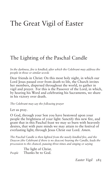# The Great Vigil of Easter

### The Lighting of the Paschal Candle

*In the darkness, fire is kindled; after which the Celebrant may address the people in these or similar words*

Dear friends in Christ: On this most holy night, in which our Lord Jesus passed over from death to life, the Church invites her members, dispersed throughout the world, to gather in vigil and prayer. For this is the Passover of the Lord, in which, by hearing his Word and celebrating his Sacraments, we share in his victory over death.

*The Celebrant may say the following prayer*

Let us pray.

O God, through your Son you have bestowed upon your people the brightness of your light: Sanctify this new fire, and grant that in this Paschal feast we may so burn with heavenly desires, that with pure minds we may attain to the festival of everlasting light; through Jesus Christ our Lord. *Amen.*

*The Paschal Candle is then lighted from the newly kindled fire, and the Deacon (the Celebrant if there is no deacon) bearing the Candle, leads the procession to the chancel, pausing three times and singing or saying*

The light of Christ. *People* Thanks be to God.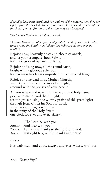*If candles have been distributed to members of the congregation, they are lighted from the Paschal Candle at this time. Other candles and lamps in the church, except for those at the Altar, may also be lighted.*

*The Paschal Candle is placed in its stand.*

*Then the Deacon, or other person appointed, standing near the Candle, sings or says the Exsultet, as follows (the indicated sections may be omitted)*

Rejoice now, heavenly hosts and choirs of angels, and let your trumpets shout Salvation for the victory of our mighty King.

Rejoice and sing now, all the round earth, bright with a glorious splendor, for darkness has been vanquished by our eternal King.

Rejoice and be glad now, Mother Church, and let your holy courts, in radiant light, resound with the praises of your people.

All you who stand near this marvelous and holy flame, pray with me to God the Almighty for the grace to sing the worthy praise of this great light; through Jesus Christ his Son our Lord, who lives and reigns with him, in the unity of the Holy Spirit, one God, for ever and ever. *Amen.*

| The Lord be with you.                                    |
|----------------------------------------------------------|
| Answer And also with you.                                |
| Deacon Let us give thanks to the Lord our God.           |
| <i>Answer</i> It is right to give him thanks and praise. |

#### *Deacon*

It is truly right and good, always and everywhere, with our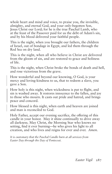whole heart and mind and voice, to praise you, the invisible, almighty, and eternal God, and your only-begotten Son, Jesus Christ our Lord; for he is the true Paschal Lamb, who at the feast of the Passover paid for us the debt of Adam's sin, and by his blood delivered your faithful people.

This is the night, when you brought our fathers, the children of Israel, out of bondage in Egypt, and led them through the Red Sea on dry land.

This is the night, when all who believe in Christ are delivered from the gloom of sin, and are restored to grace and holiness of life.

This is the night, when Christ broke the bonds of death and hell, and rose victorious from the grave.

How wonderful and beyond our knowing, O God, is your mercy and loving-kindness to us, that to redeem a slave, you gave a Son.

How holy is this night, when wickedness is put to flight, and sin is washed away. It restores innocence to the fallen, and joy to those who mourn. It casts out pride and hatred, and brings peace and concord.

How blessed is this night, when earth and heaven are joined and man is reconciled to God.

Holy Father, accept our evening sacrifice, the offering of this candle in your honor. May it shine continually to drive away all darkness. May Christ, the Morning Star who knows no setting, find it ever burning—he who gives his light to all creation, and who lives and reigns for ever and ever. *Amen.*

*It is customary that the Paschal Candle burn at all services from Easter Day through the Day of Pentecost.*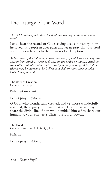### The Liturgy of the Word

*The Celebrant may introduce the Scripture readings in these or similar words*

Let us hear the record of God's saving deeds in history, how he saved his people in ages past; and let us pray that our God will bring each of us to the fullness of redemption.

*At least two of the following Lessons are read, of which one is always the Lesson from Exodus. After each Lesson, the Psalm or Canticle listed, or some other suitable psalm, canticle, or hymn may be sung. A period of silence may be kept; and the Collect provided, or some other suitable Collect, may be said.*

**The story of Creation** Genesis  $1:1-2:4a$ 

Psalm 136:1-9,23-26

Let us pray. *(Silence)*

O God, who wonderfully created, and yet more wonderfully restored, the dignity of human nature: Grant that we may share the divine life of him who humbled himself to share our humanity, your Son Jesus Christ our Lord. *Amen.*

**The Flood** Genesis 7:1-5, 11-18; 8:6-18; 9:8-13

Psalm 46

Let us pray. *(Silence)*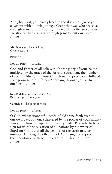Almighty God, you have placed in the skies the sign of your covenant with all living things: Grant that we, who are saved through water and the Spirit, may worthily offer to you our sacrifice of thanksgiving; through Jesus Christ our Lord. *Amen.*

**Abraham's sacrifice of Isaac** Genesis 22:1-18

Psalm<sub>16</sub>

Let us pray. *(Silence)*

God and Father of all believers, for the glory of your Name multiply, by the grace of the Paschal sacrament, the number of your children; that your Church may rejoice to see fulfilled your promise to our father Abraham; through Jesus Christ our Lord. *Amen.*

**Israel's deliverance at the Red Sea** Exodus 14:10-31; 15:20-21

Canticle 8, The Song of Moses

Let us pray. *(Silence)*

O God, whose wonderful deeds of old shine forth even to our own day, you once delivered by the power of your mighty arm your chosen people from slavery under Pharaoh, to be a sign for us of the salvation of all nations by the water of Baptism: Grant that all the peoples of the earth may be numbered among the offspring of Abraham, and rejoice in the inheritance of Israel; through Jesus Christ our Lord. *Amen.*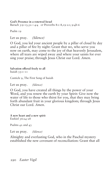**God's Presence in a renewed Israel**

Baruch 3:9-15,32—4:4 *or* Proverbs 8:1-8,19-21; 9:4b-6

Psalm 19

Let us pray. *(Silence)*

O God, you led your ancient people by a pillar of cloud by day and a pillar of fire by night: Grant that we, who serve you now on earth, may come to the joy of that heavenly Jerusalem, where all tears are wiped away and where your saints for ever sing your praise; through Jesus Christ our Lord. *Amen.* 

**Salvation offered freely to all** Isaiah 55:1-11

Canticle 9, The First Song of Isaiah

Let us pray. *(Silence)*

O God, you have created all things by the power of your Word, and you renew the earth by your Spirit: Give now the water of life to those who thirst for you, that they may bring forth abundant fruit in your glorious kingdom; through Jesus Christ our Lord. *Amen.*

**A new heart and a new spirit** Ezekiel 36:24‑28

Psalms 42 and 43

Let us pray. *(Silence)*

Almighty and everlasting God, who in the Paschal mystery established the new covenant of reconciliation: Grant that all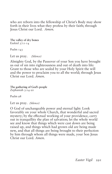who are reborn into the fellowship of Christ's Body may show forth in their lives what they profess by their faith; through Jesus Christ our Lord. *Amen.*

**The valley of dry bones** Ezekiel 37:1‑14

Psalm 143

Let us pray. *(Silence)*

Almighty God, by the Passover of your Son you have brought us out of sin into righteousness and out of death into life: Grant to those who are sealed by your Holy Spirit the will and the power to proclaim you to all the world; through Jesus Christ our Lord. *Amen.*

**The gathering of God's people** Zephaniah 3:14‑20

Psalm 98

Let us pray. *(Silence)*

O God of unchangeable power and eternal light: Look favorably on your whole Church, that wonderful and sacred mystery; by the effectual working of your providence, carry out in tranquillity the plan of salvation; let the whole world see and know that things which were cast down are being raised up, and things which had grown old are being made new, and that all things are being brought to their perfection by him through whom all things were made, your Son Jesus Christ our Lord. *Amen.*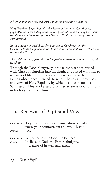*A homily may be preached after any of the preceding Readings.*

*Holy Baptism (beginning with the Presentation of the Candidates, page 301, and concluding with the reception of the newly baptized) may be administered here or after the Gospel. Confirmation may also be administered.*

*In the absence of candidates for Baptism or Confirmation, the Celebrant leads the people in the Renewal of Baptismal Vows, either here or after the Gospel.*

*The Celebrant may first address the people in these or similar words, all standing*

Through the Paschal mystery, dear friends, we are buried with Christ by Baptism into his death, and raised with him to newness of life. I call upon you, therefore, now that our Lenten observance is ended, to renew the solemn promises and vows of Holy Baptism, by which we once renounced Satan and all his works, and promised to serve God faithfully in his holy Catholic Church.

### The Renewal of Baptismal Vows

| People I do. | Celebrant Do you reaffirm your renunciation of evil and<br>renew your commitment to Jesus Christ?                            |
|--------------|------------------------------------------------------------------------------------------------------------------------------|
|              | Celebrant Do you believe in God the Father?<br>People I believe in God, the Father almighty,<br>creator of heaven and earth. |

292 *Easter Vigil*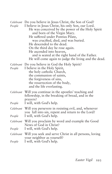| Celebrant<br>People | Do you believe in Jesus Christ, the Son of God?<br>I believe in Jesus Christ, his only Son, our Lord.<br>He was conceived by the power of the Holy Spirit<br>and born of the Virgin Mary.<br>He suffered under Pontius Pilate,<br>was crucified, died, and was buried.<br>He descended to the dead.<br>On the third day he rose again.<br>He ascended into heaven,<br>and is seated at the right hand of the Father.<br>He will come again to judge the living and the dead. |
|---------------------|------------------------------------------------------------------------------------------------------------------------------------------------------------------------------------------------------------------------------------------------------------------------------------------------------------------------------------------------------------------------------------------------------------------------------------------------------------------------------|
| People              | <i>Celebrant</i> Do you believe in God the Holy Spirit?<br>I believe in the Holy Spirit,<br>the holy catholic Church,<br>the communion of saints,<br>the forgiveness of sins,<br>the resurrection of the body,<br>and the life everlasting.                                                                                                                                                                                                                                  |
| People              | <i>Celebrant</i> Will you continue in the apostles' teaching and<br>fellowship, in the breaking of bread, and in the<br>prayers?<br>I will, with God's help.                                                                                                                                                                                                                                                                                                                 |
|                     |                                                                                                                                                                                                                                                                                                                                                                                                                                                                              |
| Celebrant<br>People | Will you persevere in resisting evil, and, whenever<br>you fall into sin, repent and return to the Lord?<br>I will, with God's help.                                                                                                                                                                                                                                                                                                                                         |
| People              | Celebrant Will you proclaim by word and example the Good<br>News of God in Christ?<br>I will, with God's help.                                                                                                                                                                                                                                                                                                                                                               |
| Celebrant<br>People | Will you seek and serve Christ in all persons, loving<br>your neighbor as yourself?<br>I will, with God's help.                                                                                                                                                                                                                                                                                                                                                              |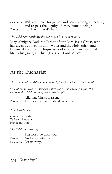*Celebrant* Will you strive for justice and peace among all people, and respect the dignity of every human being? *People* I will, with God's help.

*The Celebrant concludes the Renewal of Vows as follows*

May Almighty God, the Father of our Lord Jesus Christ, who has given us a new birth by water and the Holy Spirit, and bestowed upon us the forgiveness of sins, keep us in eternal life by his grace, in Christ Jesus our Lord. *Amen.*

### At the Eucharist

*The candles at the Altar may now be lighted from the Paschal Candle.*

*One of the following Canticles is then sung. Immediately before the Canticle the Celebrant may say to the people*

Alleluia. Christ is risen. *People* The Lord is risen indeed. Alleluia.

*The Canticles*

Gloria in excelsis Te Deum laudamus Pascha nostrum

*The Celebrant then says*

The Lord be with you. *People* And also with you. *Celebrant* Let us pray.